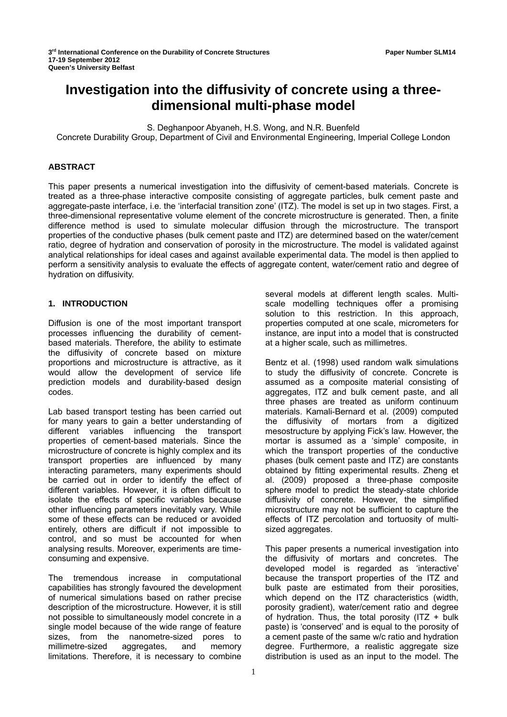# **Investigation into the diffusivity of concrete using a threedimensional multi-phase model**

S. Deghanpoor Abyaneh, H.S. Wong, and N.R. Buenfeld

Concrete Durability Group, Department of Civil and Environmental Engineering, Imperial College London

## **ABSTRACT**

This paper presents a numerical investigation into the diffusivity of cement-based materials. Concrete is treated as a three-phase interactive composite consisting of aggregate particles, bulk cement paste and aggregate-paste interface, i.e. the 'interfacial transition zone' (ITZ). The model is set up in two stages. First, a three-dimensional representative volume element of the concrete microstructure is generated. Then, a finite difference method is used to simulate molecular diffusion through the microstructure. The transport properties of the conductive phases (bulk cement paste and ITZ) are determined based on the water/cement ratio, degree of hydration and conservation of porosity in the microstructure. The model is validated against analytical relationships for ideal cases and against available experimental data. The model is then applied to perform a sensitivity analysis to evaluate the effects of aggregate content, water/cement ratio and degree of hydration on diffusivity.

## **1. INTRODUCTION**

Diffusion is one of the most important transport processes influencing the durability of cementbased materials. Therefore, the ability to estimate the diffusivity of concrete based on mixture proportions and microstructure is attractive, as it would allow the development of service life prediction models and durability-based design codes.

Lab based transport testing has been carried out for many years to gain a better understanding of different variables influencing the transport properties of cement-based materials. Since the microstructure of concrete is highly complex and its transport properties are influenced by many interacting parameters, many experiments should be carried out in order to identify the effect of different variables. However, it is often difficult to isolate the effects of specific variables because other influencing parameters inevitably vary. While some of these effects can be reduced or avoided entirely, others are difficult if not impossible to control, and so must be accounted for when analysing results. Moreover, experiments are timeconsuming and expensive.

The tremendous increase in computational capabilities has strongly favoured the development of numerical simulations based on rather precise description of the microstructure. However, it is still not possible to simultaneously model concrete in a single model because of the wide range of feature sizes, from the nanometre-sized pores to millimetre-sized aggregates, and memory limitations. Therefore, it is necessary to combine several models at different length scales. Multiscale modelling techniques offer a promising solution to this restriction. In this approach, properties computed at one scale, micrometers for instance, are input into a model that is constructed at a higher scale, such as millimetres.

Bentz et al. (1998) used random walk simulations to study the diffusivity of concrete. Concrete is assumed as a composite material consisting of aggregates, ITZ and bulk cement paste, and all three phases are treated as uniform continuum materials. Kamali-Bernard et al. (2009) computed the diffusivity of mortars from a digitized mesostructure by applying Fick's law. However, the mortar is assumed as a 'simple' composite, in which the transport properties of the conductive phases (bulk cement paste and ITZ) are constants obtained by fitting experimental results. Zheng et al. (2009) proposed a three-phase composite sphere model to predict the steady-state chloride diffusivity of concrete. However, the simplified microstructure may not be sufficient to capture the effects of ITZ percolation and tortuosity of multisized aggregates.

This paper presents a numerical investigation into the diffusivity of mortars and concretes. The developed model is regarded as 'interactive' because the transport properties of the ITZ and bulk paste are estimated from their porosities, which depend on the ITZ characteristics (width, porosity gradient), water/cement ratio and degree of hydration. Thus, the total porosity  $(ITZ + bulk)$ paste) is 'conserved' and is equal to the porosity of a cement paste of the same w/c ratio and hydration degree. Furthermore, a realistic aggregate size distribution is used as an input to the model. The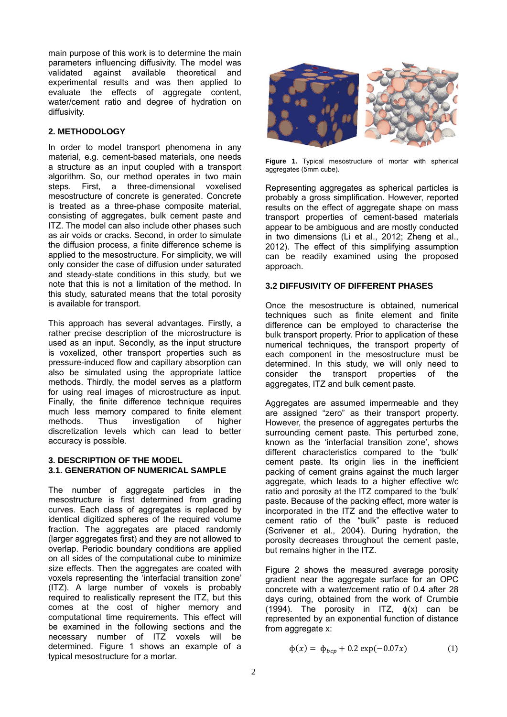main purpose of this work is to determine the main parameters influencing diffusivity. The model was validated against available theoretical and experimental results and was then applied to evaluate the effects of aggregate content, water/cement ratio and degree of hydration on diffusivity.

## **2. METHODOLOGY**

In order to model transport phenomena in any material, e.g. cement-based materials, one needs a structure as an input coupled with a transport algorithm. So, our method operates in two main steps. First, a three-dimensional voxelised mesostructure of concrete is generated. Concrete is treated as a three-phase composite material, consisting of aggregates, bulk cement paste and ITZ. The model can also include other phases such as air voids or cracks. Second, in order to simulate the diffusion process, a finite difference scheme is applied to the mesostructure. For simplicity, we will only consider the case of diffusion under saturated and steady-state conditions in this study, but we note that this is not a limitation of the method. In this study, saturated means that the total porosity is available for transport.

This approach has several advantages. Firstly, a rather precise description of the microstructure is used as an input. Secondly, as the input structure is voxelized, other transport properties such as pressure-induced flow and capillary absorption can also be simulated using the appropriate lattice methods. Thirdly, the model serves as a platform for using real images of microstructure as input. Finally, the finite difference technique requires much less memory compared to finite element methods. Thus investigation of higher discretization levels which can lead to better accuracy is possible.

## **3. DESCRIPTION OF THE MODEL 3.1. GENERATION OF NUMERICAL SAMPLE**

The number of aggregate particles in the mesostructure is first determined from grading curves. Each class of aggregates is replaced by identical digitized spheres of the required volume fraction. The aggregates are placed randomly (larger aggregates first) and they are not allowed to overlap. Periodic boundary conditions are applied on all sides of the computational cube to minimize size effects. Then the aggregates are coated with voxels representing the 'interfacial transition zone' (ITZ). A large number of voxels is probably required to realistically represent the ITZ, but this comes at the cost of higher memory and computational time requirements. This effect will be examined in the following sections and the necessary number of ITZ voxels will be determined. Figure 1 shows an example of a typical mesostructure for a mortar.



**Figure 1.** Typical mesostructure of mortar with spherical aggregates (5mm cube).

Representing aggregates as spherical particles is probably a gross simplification. However, reported results on the effect of aggregate shape on mass transport properties of cement-based materials appear to be ambiguous and are mostly conducted in two dimensions (Li et al., 2012; Zheng et al., 2012). The effect of this simplifying assumption can be readily examined using the proposed approach.

## **3.2 DIFFUSIVITY OF DIFFERENT PHASES**

Once the mesostructure is obtained, numerical techniques such as finite element and finite difference can be employed to characterise the bulk transport property. Prior to application of these numerical techniques, the transport property of each component in the mesostructure must be determined. In this study, we will only need to consider the transport properties of the aggregates, ITZ and bulk cement paste.

Aggregates are assumed impermeable and they are assigned "zero" as their transport property. However, the presence of aggregates perturbs the surrounding cement paste. This perturbed zone, known as the 'interfacial transition zone', shows different characteristics compared to the 'bulk' cement paste. Its origin lies in the inefficient packing of cement grains against the much larger aggregate, which leads to a higher effective w/c ratio and porosity at the ITZ compared to the 'bulk' paste. Because of the packing effect, more water is incorporated in the ITZ and the effective water to cement ratio of the "bulk" paste is reduced (Scrivener et al., 2004). During hydration, the porosity decreases throughout the cement paste, but remains higher in the ITZ.

Figure 2 shows the measured average porosity gradient near the aggregate surface for an OPC concrete with a water/cement ratio of 0.4 after 28 days curing, obtained from the work of Crumbie (1994). The porosity in ITZ,  $\phi(x)$  can be represented by an exponential function of distance from aggregate x:

$$
\phi(x) = \phi_{bcp} + 0.2 \exp(-0.07x) \tag{1}
$$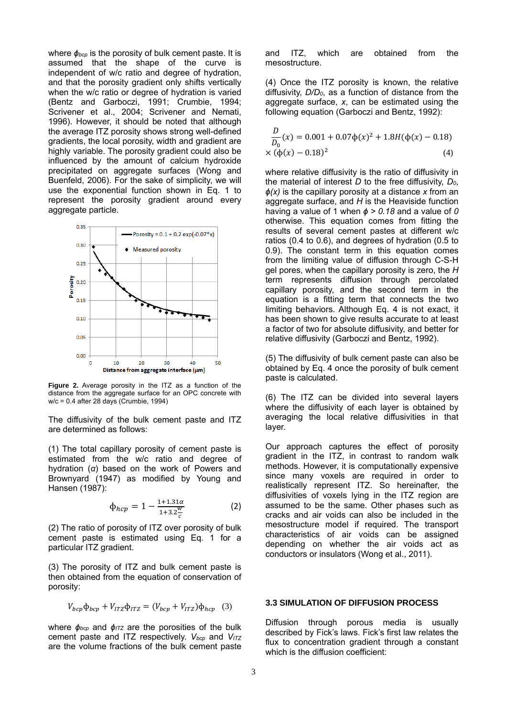where *ɸbcp* is the porosity of bulk cement paste. It is assumed that the shape of the curve is independent of w/c ratio and degree of hydration, and that the porosity gradient only shifts vertically when the w/c ratio or degree of hydration is varied (Bentz and Garboczi, 1991; Crumbie, 1994; Scrivener et al., 2004; Scrivener and Nemati, 1996). However, it should be noted that although the average ITZ porosity shows strong well-defined gradients, the local porosity, width and gradient are highly variable. The porosity gradient could also be influenced by the amount of calcium hydroxide precipitated on aggregate surfaces (Wong and Buenfeld, 2006). For the sake of simplicity, we will use the exponential function shown in Eq. 1 to represent the porosity gradient around every aggregate particle.



**Figure 2.** Average porosity in the ITZ as a function of the distance from the aggregate surface for an OPC concrete with w/c = 0.4 after 28 days (Crumbie, 1994)

The diffusivity of the bulk cement paste and ITZ are determined as follows:

(1) The total capillary porosity of cement paste is estimated from the w/c ratio and degree of hydration (*α*) based on the work of Powers and Brownyard (1947) as modified by Young and Hansen (1987):

$$
\Phi_{hcp} = 1 - \frac{1 + 1.31\alpha}{1 + 3.2\frac{w}{c}} \tag{2}
$$

(2) The ratio of porosity of ITZ over porosity of bulk cement paste is estimated using Eq. 1 for a particular ITZ gradient.

(3) The porosity of ITZ and bulk cement paste is then obtained from the equation of conservation of porosity:

$$
V_{bcp}\Phi_{bcp} + V_{ITZ}\Phi_{ITZ} = (V_{bcp} + V_{ITZ})\Phi_{hcp} \quad (3)
$$

where  $φ_{bcp}$  and  $φ_{ITZ}$  are the porosities of the bulk cement paste and ITZ respectively. *Vbcp* and *VITZ* are the volume fractions of the bulk cement paste and ITZ, which are obtained from the mesostructure.

(4) Once the ITZ porosity is known, the relative diffusivity, *D/D0*, as a function of distance from the aggregate surface, *x*, can be estimated using the following equation (Garboczi and Bentz, 1992):

$$
\frac{D}{D_0}(x) = 0.001 + 0.07\phi(x)^2 + 1.8H(\phi(x) - 0.18)
$$
  
× (φ(x) – 0.18)<sup>2</sup> (4)

where relative diffusivity is the ratio of diffusivity in the material of interest *D* to the free diffusivity, *D0*, *ɸ(x)* is the capillary porosity at a distance *x* from an agaregate surface, and *H* is the Heaviside function having a value of 1 when  $\phi > 0.18$  and a value of 0 otherwise. This equation comes from fitting the results of several cement pastes at different w/c ratios (0.4 to 0.6), and degrees of hydration (0.5 to 0.9). The constant term in this equation comes from the limiting value of diffusion through C-S-H gel pores, when the capillary porosity is zero, the *H* term represents diffusion through percolated capillary porosity, and the second term in the equation is a fitting term that connects the two limiting behaviors. Although Eq. 4 is not exact, it has been shown to give results accurate to at least a factor of two for absolute diffusivity, and better for relative diffusivity (Garboczi and Bentz, 1992).

(5) The diffusivity of bulk cement paste can also be obtained by Eq. 4 once the porosity of bulk cement paste is calculated.

(6) The ITZ can be divided into several layers where the diffusivity of each layer is obtained by averaging the local relative diffusivities in that layer.

Our approach captures the effect of porosity gradient in the ITZ, in contrast to random walk methods. However, it is computationally expensive since many voxels are required in order to realistically represent ITZ. So hereinafter, the diffusivities of voxels lying in the ITZ region are assumed to be the same. Other phases such as cracks and air voids can also be included in the mesostructure model if required. The transport characteristics of air voids can be assigned depending on whether the air voids act as conductors or insulators (Wong et al., 2011).

## **3.3 SIMULATION OF DIFFUSION PROCESS**

Diffusion through porous media is usually described by Fick's laws. Fick's first law relates the flux to concentration gradient through a constant which is the diffusion coefficient: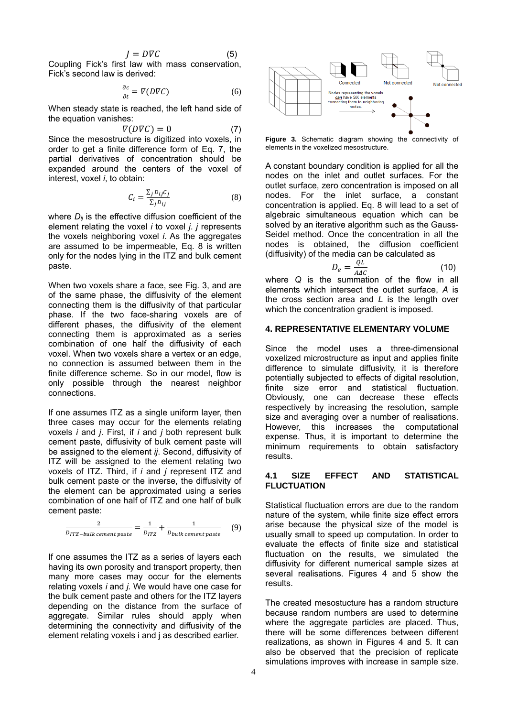$$
J = D \nabla C \tag{5}
$$

Coupling Fick's first law with mass conservation, Fick's second law is derived:

$$
\frac{\partial c}{\partial t} = \nabla (D \nabla C) \tag{6}
$$

When steady state is reached, the left hand side of the equation vanishes:

$$
\nabla(D\nabla C) = 0 \tag{7}
$$

Since the mesostructure is digitized into voxels, in order to get a finite difference form of Eq. 7, the partial derivatives of concentration should be expanded around the centers of the voxel of interest, voxel *i*, to obtain:

$$
C_i = \frac{\sum_j D_{ij} C_j}{\sum_j D_{ij}}\tag{8}
$$

where  $D_{ij}$  is the effective diffusion coefficient of the element relating the voxel *i* to voxel *j*. *j* represents the voxels neighboring voxel *i*. As the aggregates are assumed to be impermeable, Eq. 8 is written only for the nodes lying in the ITZ and bulk cement paste.

When two voxels share a face, see Fig. 3, and are of the same phase, the diffusivity of the element connecting them is the diffusivity of that particular phase. If the two face-sharing voxels are of different phases, the diffusivity of the element connecting them is approximated as a series combination of one half the diffusivity of each voxel. When two voxels share a vertex or an edge, no connection is assumed between them in the finite difference scheme. So in our model, flow is only possible through the nearest neighbor connections.

If one assumes ITZ as a single uniform layer, then three cases may occur for the elements relating voxels *i* and *j*. First, if *i* and *j* both represent bulk cement paste, diffusivity of bulk cement paste will be assigned to the element *ij*. Second, diffusivity of ITZ will be assigned to the element relating two voxels of ITZ. Third, if *i* and *j* represent ITZ and bulk cement paste or the inverse, the diffusivity of the element can be approximated using a series combination of one half of ITZ and one half of bulk cement paste:

$$
\frac{2}{D_{ITZ-bulk\, cement\,past}} = \frac{1}{D_{ITZ}} + \frac{1}{D_{bulk\, cement\,past}} \quad (9)
$$

If one assumes the ITZ as a series of layers each having its own porosity and transport property, then many more cases may occur for the elements relating voxels *i* and *j*. We would have one case for the bulk cement paste and others for the ITZ layers depending on the distance from the surface of aggregate. Similar rules should apply when determining the connectivity and diffusivity of the element relating voxels i and j as described earlier.



Fiaure 3. Schematic diagram showing the connectivity of elements in the voxelized mesostructure.

A constant boundary condition is applied for all the nodes on the inlet and outlet surfaces. For the outlet surface, zero concentration is imposed on all nodes. For the inlet surface, a constant concentration is applied. Eq. 8 will lead to a set of algebraic simultaneous equation which can be solved by an iterative algorithm such as the Gauss-Seidel method. Once the concentration in all the nodes is obtained, the diffusion coefficient (diffusivity) of the media can be calculated as

$$
D_e = \frac{QL}{A \Delta C} \tag{10}
$$

where *Q* is the summation of the flow in all elements which intersect the outlet surface, *A* is the cross section area and *L* is the length over which the concentration gradient is imposed.

#### **4. REPRESENTATIVE ELEMENTARY VOLUME**

Since the model uses a three-dimensional voxelized microstructure as input and applies finite difference to simulate diffusivity, it is therefore potentially subjected to effects of digital resolution, finite size error and statistical fluctuation. Obviously, one can decrease these effects respectively by increasing the resolution, sample size and averaging over a number of realisations. However, this increases the computational expense. Thus, it is important to determine the minimum requirements to obtain satisfactory results.

## **4.1 SIZE EFFECT AND STATISTICAL FLUCTUATION**

Statistical fluctuation errors are due to the random nature of the system, while finite size effect errors arise because the physical size of the model is usually small to speed up computation. In order to evaluate the effects of finite size and statistical fluctuation on the results, we simulated the diffusivity for different numerical sample sizes at several realisations. Figures 4 and 5 show the results.

The created mesostucture has a random structure because random numbers are used to determine where the aggregate particles are placed. Thus, there will be some differences between different realizations, as shown in Figures 4 and 5. It can also be observed that the precision of replicate simulations improves with increase in sample size.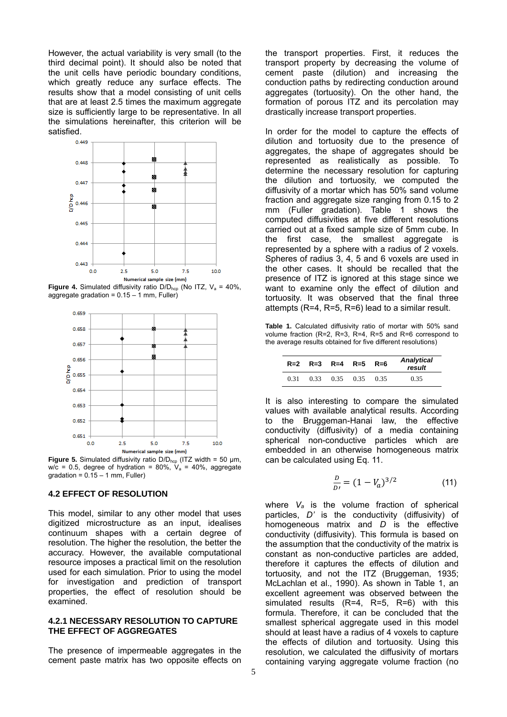However, the actual variability is very small (to the third decimal point). It should also be noted that the unit cells have periodic boundary conditions, which greatly reduce any surface effects. The results show that a model consisting of unit cells that are at least 2.5 times the maximum aggregate size is sufficiently large to be representative. In all the simulations hereinafter, this criterion will be satisfied.



**Figure 4.** Simulated diffusivity ratio  $D/D_{\text{hcp}}$  (No ITZ,  $V_a = 40\%$ , aggregate gradation =  $0.15 - 1$  mm, Fuller)



**Figure 5.** Simulated diffusivity ratio D/D<sub>hcp</sub> (ITZ width = 50 μm,  $w/c = 0.5$ , degree of hydration = 80%,  $V_a = 40\%$ , aggregate gradation =  $0.15 - 1$  mm, Fuller)

## **4.2 EFFECT OF RESOLUTION**

This model, similar to any other model that uses digitized microstructure as an input, idealises continuum shapes with a certain degree of resolution. The higher the resolution, the better the accuracy. However, the available computational resource imposes a practical limit on the resolution used for each simulation. Prior to using the model for investigation and prediction of transport properties, the effect of resolution should be examined.

#### **4.2.1 NECESSARY RESOLUTION TO CAPTURE THE EFFECT OF AGGREGATES**

The presence of impermeable aggregates in the cement paste matrix has two opposite effects on the transport properties. First, it reduces the transport property by decreasing the volume of cement paste (dilution) and increasing the conduction paths by redirecting conduction around aggregates (tortuosity). On the other hand, the formation of porous ITZ and its percolation may drastically increase transport properties.

In order for the model to capture the effects of dilution and tortuosity due to the presence of aggregates, the shape of aggregates should be represented as realistically as possible. To determine the necessary resolution for capturing the dilution and tortuosity, we computed the diffusivity of a mortar which has 50% sand volume fraction and aggregate size ranging from 0.15 to 2 mm (Fuller gradation). Table 1 shows the computed diffusivities at five different resolutions carried out at a fixed sample size of 5mm cube. In the first case, the smallest aggregate is represented by a sphere with a radius of 2 voxels. Spheres of radius 3, 4, 5 and 6 voxels are used in the other cases. It should be recalled that the presence of ITZ is ignored at this stage since we want to examine only the effect of dilution and tortuosity. It was observed that the final three attempts (R=4, R=5, R=6) lead to a similar result.

**Table 1.** Calculated diffusivity ratio of mortar with 50% sand volume fraction (R=2, R=3, R=4, R=5 and R=6 correspond to the average results obtained for five different resolutions)

|      |      |      | $R=2$ $R=3$ $R=4$ $R=5$ $R=6$ |      | <b>Analytical</b><br>result |
|------|------|------|-------------------------------|------|-----------------------------|
| 0.31 | 0.33 | 0.35 | 0.35                          | 0.35 | 0.35                        |

It is also interesting to compare the simulated values with available analytical results. According to the Bruggeman-Hanai law, the effective conductivity (diffusivity) of a media containing spherical non-conductive particles which are embedded in an otherwise homogeneous matrix can be calculated using Eq. 11.

$$
\frac{D}{Dt} = (1 - V_a)^{3/2} \tag{11}
$$

where *Va* is the volume fraction of spherical particles, *D'* is the conductivity (diffusivity) of homogeneous matrix and *D* is the effective conductivity (diffusivity). This formula is based on the assumption that the conductivity of the matrix is constant as non-conductive particles are added, therefore it captures the effects of dilution and tortuosity, and not the ITZ (Bruggeman, 1935; McLachlan et al., 1990). As shown in Table 1, an excellent agreement was observed between the simulated results (R=4, R=5, R=6) with this formula. Therefore, it can be concluded that the smallest spherical aggregate used in this model should at least have a radius of 4 voxels to capture the effects of dilution and tortuosity. Using this resolution, we calculated the diffusivity of mortars containing varying aggregate volume fraction (no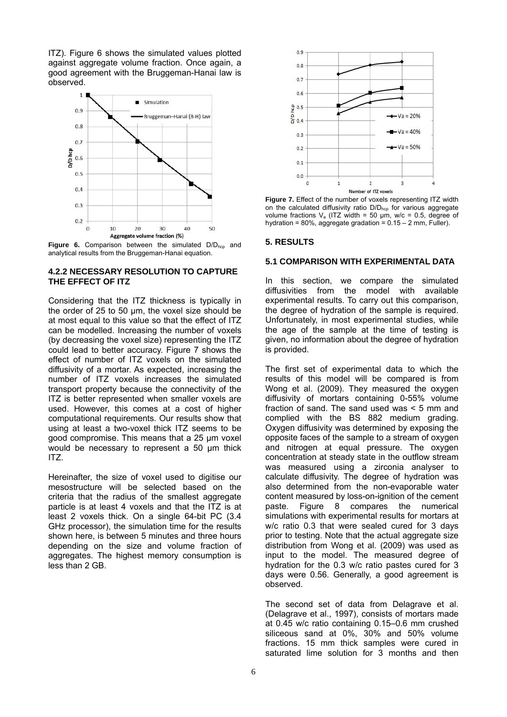ITZ). Figure 6 shows the simulated values plotted against aggregate volume fraction. Once again, a good agreement with the Bruggeman-Hanai law is observed.





## **4.2.2 NECESSARY RESOLUTION TO CAPTURE THE EFFECT OF ITZ**

Considering that the ITZ thickness is typically in the order of 25 to 50 μm, the voxel size should be at most equal to this value so that the effect of ITZ can be modelled. Increasing the number of voxels (by decreasing the voxel size) representing the ITZ could lead to better accuracy. Figure 7 shows the effect of number of ITZ voxels on the simulated diffusivity of a mortar. As expected, increasing the number of ITZ voxels increases the simulated transport property because the connectivity of the ITZ is better represented when smaller voxels are used. However, this comes at a cost of higher computational requirements. Our results show that using at least a two-voxel thick ITZ seems to be good compromise. This means that a 25 μm voxel would be necessary to represent a 50 μm thick ITZ.

Hereinafter, the size of voxel used to digitise our mesostructure will be selected based on the criteria that the radius of the smallest aggregate particle is at least 4 voxels and that the ITZ is at least 2 voxels thick. On a single 64-bit PC (3.4 GHz processor), the simulation time for the results shown here, is between 5 minutes and three hours depending on the size and volume fraction of aggregates. The highest memory consumption is less than 2 GB.



**Figure 7.** Effect of the number of voxels representing ITZ width on the calculated diffusivity ratio D/D<sub>hcp</sub> for various aggregate volume fractions  $V_a$  (ITZ width = 50 µm, w/c = 0.5, degree of hydration = 80%, aggregate gradation =  $0.15 - 2$  mm, Fuller).

## **5. RESULTS**

## **5.1 COMPARISON WITH EXPERIMENTAL DATA**

In this section, we compare the simulated diffusivities from the model with available experimental results. To carry out this comparison, the degree of hydration of the sample is required. Unfortunately, in most experimental studies, while the age of the sample at the time of testing is given, no information about the degree of hydration is provided.

The first set of experimental data to which the results of this model will be compared is from Wong et al. (2009). They measured the oxygen diffusivity of mortars containing 0-55% volume fraction of sand. The sand used was < 5 mm and complied with the BS 882 medium grading. Oxygen diffusivity was determined by exposing the opposite faces of the sample to a stream of oxygen and nitrogen at equal pressure. The oxygen concentration at steady state in the outflow stream was measured using a zirconia analyser to calculate diffusivity. The degree of hydration was also determined from the non-evaporable water content measured by loss-on-ignition of the cement paste. Figure 8 compares the numerical simulations with experimental results for mortars at w/c ratio 0.3 that were sealed cured for 3 days prior to testing. Note that the actual aggregate size distribution from Wong et al. (2009) was used as input to the model. The measured degree of hydration for the 0.3 w/c ratio pastes cured for 3 days were 0.56. Generally, a good agreement is observed.

The second set of data from Delagrave et al. (Delagrave et al., 1997), consists of mortars made at 0.45 w/c ratio containing 0.15–0.6 mm crushed siliceous sand at 0%, 30% and 50% volume fractions. 15 mm thick samples were cured in saturated lime solution for 3 months and then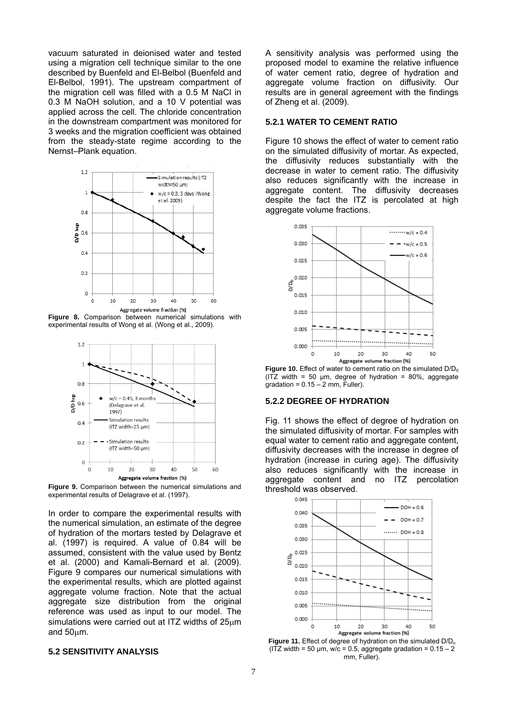vacuum saturated in deionised water and tested using a migration cell technique similar to the one described by Buenfeld and El-Belbol (Buenfeld and El-Belbol, 1991). The upstream compartment of the migration cell was filled with a 0.5 M NaCl in 0.3 M NaOH solution, and a 10 V potential was applied across the cell. The chloride concentration in the downstream compartment was monitored for 3 weeks and the migration coefficient was obtained from the steady-state regime according to the Nernst–Plank equation.



**Figure 8.** Comparison between numerical simulations with experimental results of Wong et al. (Wong et al., 2009).



**Figure 9.** Comparison between the numerical simulations and experimental results of Delagrave et al. (1997).

In order to compare the experimental results with the numerical simulation, an estimate of the degree of hydration of the mortars tested by Delagrave et al. (1997) is required. A value of 0.84 will be assumed, consistent with the value used by Bentz et al. (2000) and Kamali-Bernard et al. (2009). Figure 9 compares our numerical simulations with the experimental results, which are plotted against aggregate volume fraction. Note that the actual aggregate size distribution from the original reference was used as input to our model. The simulations were carried out at ITZ widths of  $25\mu$ m and 50um.

#### **5.2 SENSITIVITY ANALYSIS**

A sensitivity analysis was performed using the proposed model to examine the relative influence of water cement ratio, degree of hydration and aggregate volume fraction on diffusivity. Our results are in general agreement with the findings of Zheng et al. (2009).

#### **5.2.1 WATER TO CEMENT RATIO**

Figure 10 shows the effect of water to cement ratio on the simulated diffusivity of mortar. As expected, the diffusivity reduces substantially with the decrease in water to cement ratio. The diffusivity also reduces significantly with the increase in aggregate content. The diffusivity decreases despite the fact the ITZ is percolated at high aggregate volume fractions.



**Figure 10.** Effect of water to cement ratio on the simulated D/D<sub>0</sub> (ITZ width = 50  $\mu$ m, degree of hydration = 80%, aggregate gradation =  $0.15 - 2$  mm, Fuller).

#### **5.2.2 DEGREE OF HYDRATION**

Fig. 11 shows the effect of degree of hydration on the simulated diffusivity of mortar. For samples with equal water to cement ratio and aggregate content, diffusivity decreases with the increase in degree of hydration (increase in curing age). The diffusivity also reduces significantly with the increase in aggregate content and no ITZ percolation threshold was observed.



**Figure 11.** Effect of degree of hydration on the simulated D/D<sub>o</sub> (ITZ width = 50  $\mu$ m, w/c = 0.5, aggregate gradation = 0.15 - 2 mm, Fuller).